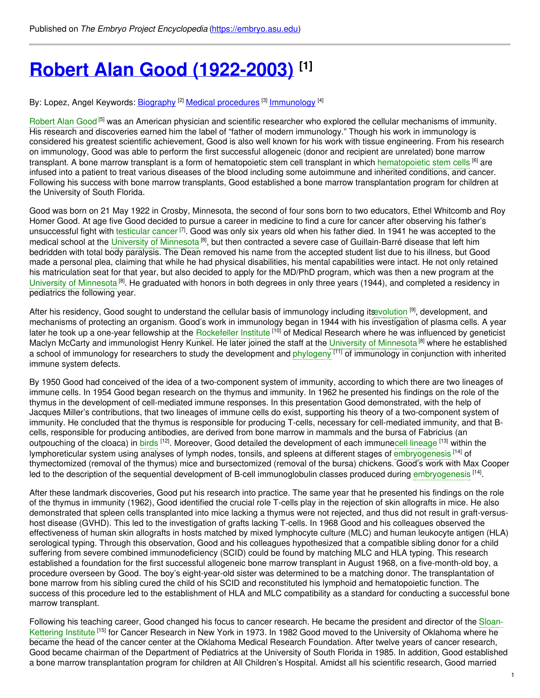# **Robert Alan Good [\(1922-2003\)](https://embryo.asu.edu/pages/robert-alan-good-1922-2003) [1]**

By: Lopez, Angel Keywords: <u>[Biography](https://embryo.asu.edu/keywords/biography) <sup>[2]</sup> Medical [procedures](https://embryo.asu.edu/keywords/medical-procedures)</u> [3] <u>[Immunology](https://embryo.asu.edu/keywords/immunology)</u> [4]

[Robert](https://embryo.asu.edu/search?text=Robert%20Alan%20Good) Alan Good<sup> [5]</sup> was an American physician and scientific researcher who explored the cellular mechanisms of immunity. His research and discoveries earned him the label of "father of modern immunology." Though his work in immunology is considered his greatest scientific achievement, Good is also well known for his work with tissue engineering. From his research on immunology, Good was able to perform the first successful allogeneic (donor and recipient are unrelated) bone marrow transplant. A bone marrow transplant is a form of [hematopoietic](https://embryo.asu.edu/search?text=hematopoietic%20stem%20cells) stem cell transplant in which hematopoietic stem cells <sup>[6]</sup> are infused into a patient to treat various diseases of the blood including some autoimmune and inherited conditions, and cancer. Following his success with bone marrow transplants, Good established a bone marrow transplantation program for children at the University of South Florida.

Good was born on 21 May 1922 in Crosby, Minnesota, the second of four sons born to two educators, Ethel Whitcomb and Roy Homer Good. At age five Good decided to pursue a career in medicine to find a cure for cancer after observing his father's unsuccessful fight with [testicular](https://embryo.asu.edu/search?text=testicular%20cancer) cancer <sup>[7]</sup>. Good was only six years old when his father died. In 1941 he was accepted to the medical school at the University of [Minnesota](https://embryo.asu.edu/search?text=University%20of%20Minnesota)<sup>[8]</sup>, but then contracted a severe case of Guillain-Barré disease that left him bedridden with total body paralysis. The Dean removed his name from the accepted student list due to his illness, but Good made a personal plea, claiming that while he had physical disabilities, his mental capabilities were intact. He not only retained his matriculation seat for that year, but also decided to apply for the MD/PhD program, which was then a new program at the University of [Minnesota](https://embryo.asu.edu/search?text=University%20of%20Minnesota)<sup>[8]</sup>. He graduated with honors in both degrees in only three years (1944), and completed a residency in pediatrics the following year.

After his residency, Good sought to understand the cellular basis of immunology including its volution <sup>[9]</sup>, development, and mechanisms of protecting an organism. Good's work in immunology began in 1944 with his investigation of plasma cells. A year later he took up a one-year fellowship at the [Rockefeller](https://embryo.asu.edu/search?text=Rockefeller%20Institute) Institute <sup>[10]</sup> of Medical Research where he was influenced by geneticist Maclyn McCarty and immunologist Henry Kunkel. He later joined the staff at the University of [Minnesota](https://embryo.asu.edu/search?text=University%20of%20Minnesota) <sup>[8]</sup> where he established a school of immunology for researchers to study the development and [phylogeny](https://embryo.asu.edu/search?text=phylogeny) [11] of immunology in conjunction with inherited immune system defects.

By 1950 Good had conceived of the idea of a two-component system of immunity, according to which there are two lineages of immune cells. In 1954 Good began research on the thymus and immunity. In 1962 he presented his findings on the role of the thymus in the development of cell-mediated immune responses. In this presentation Good demonstrated, with the help of Jacques Miller's contributions, that two lineages of immune cells do exist, supporting his theory of a two-component system of immunity. He concluded that the thymus is responsible for producing T-cells, necessary for cell-mediated immunity, and that Bcells, responsible for producing antibodies, are derived from bone marrow in mammals and the bursa of Fabricius (an outpouching of the cloaca) in [birds](https://embryo.asu.edu/search?text=birds) <sup>[12]</sup>. Moreover, Good detailed the development of each immunecell [lineage](https://embryo.asu.edu/search?text=cell%20lineage) <sup>[13]</sup> within the lymphoreticular system using analyses of lymph nodes, tonsils, and spleens at different stages of [embryogenesis](https://embryo.asu.edu/search?text=embryogenesis) <sup>[14]</sup> of thymectomized (removal of the thymus) mice and bursectomized (removal of the bursa) chickens. Good's work with Max Cooper led to the description of the sequential development of B-cell immunoglobulin classes produced during [embryogenesis](https://embryo.asu.edu/search?text=embryogenesis) <sup>[14]</sup>.

After these landmark discoveries, Good put his research into practice. The same year that he presented his findings on the role of the thymus in immunity (1962), Good identified the crucial role T-cells play in the rejection of skin allografts in mice. He also demonstrated that spleen cells transplanted into mice lacking a thymus were not rejected, and thus did not result in graft-versushost disease (GVHD). This led to the investigation of grafts lacking T-cells. In 1968 Good and his colleagues observed the effectiveness of human skin allografts in hosts matched by mixed lymphocyte culture (MLC) and human leukocyte antigen (HLA) serological typing. Through this observation, Good and his colleagues hypothesized that a compatible sibling donor for a child suffering from severe combined immunodeficiency (SCID) could be found by matching MLC and HLA typing. This research established a foundation for the first successful allogeneic bone marrow transplant in August 1968, on a five-month-old boy, a procedure overseen by Good. The boy's eight-year-old sister was determined to be a matching donor. The transplantation of bone marrow from his sibling cured the child of his SCID and reconstituted his lymphoid and hematopoietic function. The success of this procedure led to the establishment of HLA and MLC compatibility as a standard for conducting a successful bone marrow transplant.

Following his teaching career, Good changed his focus to cancer research. He became the president and director of the Sloan-Kettering Institute <sup>[15]</sup> for Cancer Research in New York in 1973. In 1982 Good moved to the University of [Oklahoma](https://embryo.asu.edu/search?text=Sloan-Kettering%20Institute) where he became the head of the cancer center at the Oklahoma Medical Research Foundation. After twelve years of cancer research, Good became chairman of the Department of Pediatrics at the University of South Florida in 1985. In addition, Good established a bone marrow transplantation program for children at All Children's Hospital. Amidst all his scientific research, Good married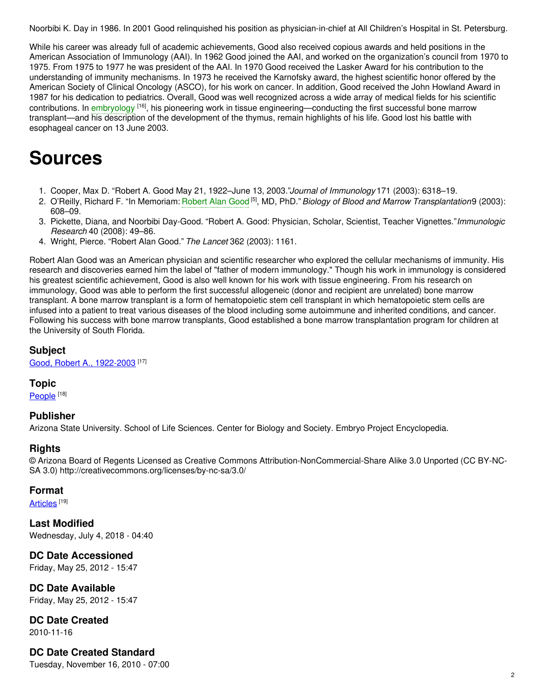Noorbibi K. Day in 1986. In 2001 Good relinquished his position as physician-in-chief at All Children's Hospital in St. Petersburg.

While his career was already full of academic achievements, Good also received copious awards and held positions in the American Association of Immunology (AAI). In 1962 Good joined the AAI, and worked on the organization's council from 1970 to 1975. From 1975 to 1977 he was president of the AAI. In 1970 Good received the Lasker Award for his contribution to the understanding of immunity mechanisms. In 1973 he received the Karnofsky award, the highest scientific honor offered by the American Society of Clinical Oncology (ASCO), for his work on cancer. In addition, Good received the John Howland Award in 1987 for his dedication to pediatrics. Overall, Good was well recognized across a wide array of medical fields for his scientific contributions. In [embryology](https://embryo.asu.edu/search?text=embryology) <sup>[16]</sup>, his pioneering work in tissue engineering—conducting the first successful bone marrow transplant—and his description of the development of the thymus, remain highlights of his life. Good lost his battle with esophageal cancer on 13 June 2003.

# **Sources**

- 1. Cooper, Max D. "Robert A. Good May 21, 1922–June 13, 2003."*Journal of Immunology* 171 (2003): 6318–19.
- 2. O'Reilly, Richard F. "In Memoriam: [Robert](https://embryo.asu.edu/search?text=Robert%20Alan%20Good) Alan Good [5] , MD, PhD."*Biology of Blood and Marrow Transplantation*9 (2003): 608–09.
- 3. Pickette, Diana, and Noorbibi Day-Good. "Robert A. Good: Physician, Scholar, Scientist, Teacher Vignettes."*Immunologic Research* 40 (2008): 49–86.
- 4. Wright, Pierce. "Robert Alan Good." *The Lancet* 362 (2003): 1161.

Robert Alan Good was an American physician and scientific researcher who explored the cellular mechanisms of immunity. His research and discoveries earned him the label of "father of modern immunology." Though his work in immunology is considered his greatest scientific achievement, Good is also well known for his work with tissue engineering. From his research on immunology, Good was able to perform the first successful allogeneic (donor and recipient are unrelated) bone marrow transplant. A bone marrow transplant is a form of hematopoietic stem cell transplant in which hematopoietic stem cells are infused into a patient to treat various diseases of the blood including some autoimmune and inherited conditions, and cancer. Following his success with bone marrow transplants, Good established a bone marrow transplantation program for children at the University of South Florida.

#### **Subject**

Good, Robert A., [1922-2003](https://embryo.asu.edu/library-congress-subject-headings/good-robert-1922-2003)<sup>[17]</sup>

#### **Topic**

[People](https://embryo.asu.edu/topics/people)<sup>[18]</sup>

## **Publisher**

Arizona State University. School of Life Sciences. Center for Biology and Society. Embryo Project Encyclopedia.

## **Rights**

© Arizona Board of Regents Licensed as Creative Commons Attribution-NonCommercial-Share Alike 3.0 Unported (CC BY-NC-SA 3.0) http://creativecommons.org/licenses/by-nc-sa/3.0/

## **Format**

<u>[Articles](https://embryo.asu.edu/formats/articles)</u> [19]

**Last Modified** Wednesday, July 4, 2018 - 04:40

**DC Date Accessioned** Friday, May 25, 2012 - 15:47

**DC Date Available** Friday, May 25, 2012 - 15:47

**DC Date Created** 2010-11-16

# **DC Date Created Standard**

Tuesday, November 16, 2010 - 07:00